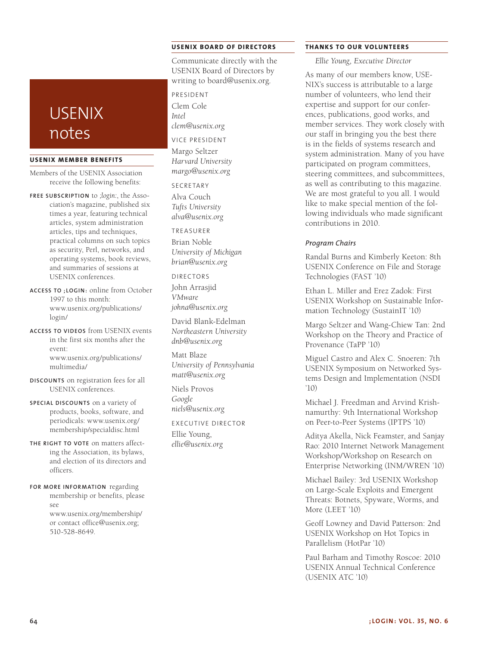## **USENIX BOARD OF DIRECTORS**

Communicate directly with the USENIX Board of Directors by writing to board@usenix.org.

PRESIDENT Clem Cole *Intel clem@usenix.org*

VICE PRESIDENT

Margo Seltzer *Harvard University margo@usenix.org*

SECRETARY Alva Couch *Tufts University alva@usenix.org*

TREASURER

Brian Noble *University of Michigan brian@usenix.org*

DIRECTORS

John Arrasjid

*VMware johna@usenix.org*

David Blank-Edelman *Northeastern University dnb@usenix.org*

Matt Blaze *University of Pennsylvania matt@usenix.org*

Niels Provos *Google niels@usenix.org*

EXECUTIVE DIRECTOR

Ellie Young, *ellie@usenix.org*

#### **THANKS TO OUR VOLUNTEERS**

*Ellie Young, Executive Director*

As many of our members know, USE-NIX's success is attributable to a large number of volunteers, who lend their expertise and support for our conferences, publications, good works, and member services. They work closely with our staff in bringing you the best there is in the fields of systems research and system administration. Many of you have participated on program committees, steering committees, and subcommittees, as well as contributing to this magazine. We are most grateful to you all. I would like to make special mention of the following individuals who made significant contributions in 2010.

### *Program Chairs*

Randal Burns and Kimberly Keeton: 8th USENIX Conference on File and Storage Technologies (FAST '10)

Ethan L. Miller and Erez Zadok: First USENIX Workshop on Sustainable Information Technology (SustainIT '10)

Margo Seltzer and Wang-Chiew Tan: 2nd Workshop on the Theory and Practice of Provenance (TaPP '10)

Miguel Castro and Alex C. Snoeren: 7th USENIX Symposium on Networked Systems Design and Implementation (NSDI '10)

Michael J. Freedman and Arvind Krishnamurthy: 9th International Workshop on Peer-to-Peer Systems (IPTPS '10)

Aditya Akella, Nick Feamster, and Sanjay Rao: 2010 Internet Network Management Workshop/Workshop on Research on Enterprise Networking (INM/WREN '10)

Michael Bailey: 3rd USENIX Workshop on Large-Scale Exploits and Emergent Threats: Botnets, Spyware, Worms, and More (LEET '10)

Geoff Lowney and David Patterson: 2nd USENIX Workshop on Hot Topics in Parallelism (HotPar '10)

Paul Barham and Timothy Roscoe: 2010 USENIX Annual Technical Conference (USENIX ATC '10)

# USENIX notes

## **USENIX MEMBER BENEFITS**

Members of the USENIX Association receive the following benefits:

- **FREE SUBSCRIPTION** to *;login:*, the Association's magazine, published six times a year, featuring technical articles, system administration articles, tips and techniques, practical columns on such topics as security, Perl, networks, and operating systems, book reviews, and summaries of sessions at USENIX conferences.
- **ACCESS TO ;LOGIN:** online from October 1997 to this month: www.usenix.org/publications/ login/
- **ACCESS TO VIDEOS** from USENIX events in the first six months after the event: www.usenix.org/publications/ multimedia/
- **DISCOUNTS** on registration fees for all USENIX conferences.
- **SPECIAL DISCOUNTS** on a variety of products, books, software, and periodicals: www.usenix.org/ membership/specialdisc.html
- **THE RIGHT TO VOTE** on matters affecting the Association, its bylaws, and election of its directors and officers.
- **FOR MORE INFORMATION** regarding membership or benefits, please see www.usenix.org/membership/

or contact office@usenix.org; 510-528-8649.